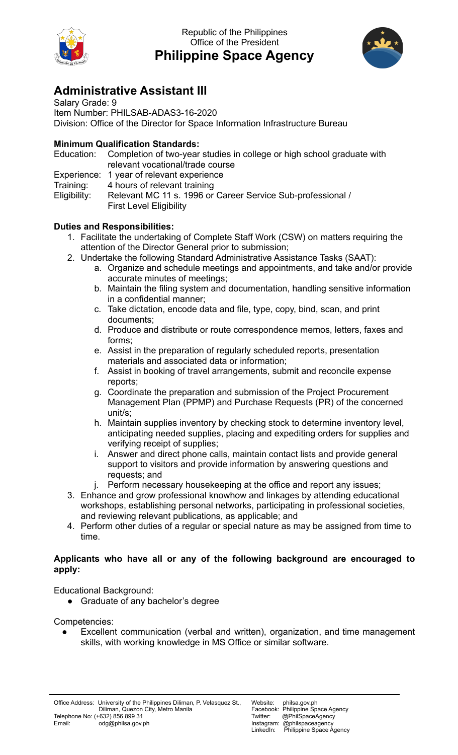

Republic of the Philippines Office of the President **Philippine Space Agency**



## **Administrative Assistant III**

Salary Grade: 9 Item Number: PHILSAB-ADAS3-16-2020 Division: Office of the Director for Space Information Infrastructure Bureau

## **Minimum Qualification Standards:**

|           | Education: Completion of two-year studies in college or high school graduate with |
|-----------|-----------------------------------------------------------------------------------|
|           | relevant vocational/trade course                                                  |
|           | Experience: 1 year of relevant experience                                         |
| Training: | 4 hours of relevant training                                                      |
|           |                                                                                   |

Eligibility: Relevant MC 11 s. 1996 or Career Service Sub-professional / First Level Eligibility

## **Duties and Responsibilities:**

- 1. Facilitate the undertaking of Complete Staff Work (CSW) on matters requiring the attention of the Director General prior to submission;
- 2. Undertake the following Standard Administrative Assistance Tasks (SAAT):
	- a. Organize and schedule meetings and appointments, and take and/or provide accurate minutes of meetings;
	- b. Maintain the filing system and documentation, handling sensitive information in a confidential manner;
	- c. Take dictation, encode data and file, type, copy, bind, scan, and print documents;
	- d. Produce and distribute or route correspondence memos, letters, faxes and forms;
	- e. Assist in the preparation of regularly scheduled reports, presentation materials and associated data or information;
	- f. Assist in booking of travel arrangements, submit and reconcile expense reports;
	- g. Coordinate the preparation and submission of the Project Procurement Management Plan (PPMP) and Purchase Requests (PR) of the concerned unit/s;
	- h. Maintain supplies inventory by checking stock to determine inventory level, anticipating needed supplies, placing and expediting orders for supplies and verifying receipt of supplies;
	- i. Answer and direct phone calls, maintain contact lists and provide general support to visitors and provide information by answering questions and requests; and
	- j. Perform necessary housekeeping at the office and report any issues;
- 3. Enhance and grow professional knowhow and linkages by attending educational workshops, establishing personal networks, participating in professional societies, and reviewing relevant publications, as applicable; and
- 4. Perform other duties of a regular or special nature as may be assigned from time to time.

## **Applicants who have all or any of the following background are encouraged to apply:**

Educational Background:

● Graduate of any bachelor's degree

Competencies:

Excellent communication (verbal and written), organization, and time management skills, with working knowledge in MS Office or similar software.